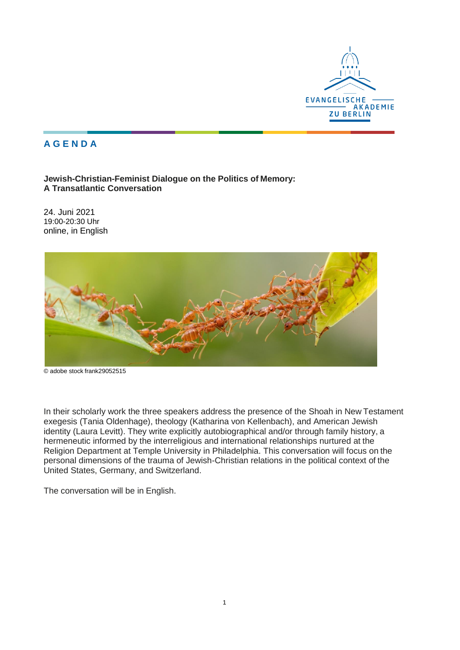

## **A G E N D A**

**Jewish-Christian-Feminist Dialogue on the Politics of Memory: A Transatlantic Conversation**

24. Juni 2021 19:00-20:30 Uhr online, in English



© adobe stock [frank29052515](https://stock.adobe.com/de/contributor/203715498/frank29052515?load_type=author&prev_url=detail)

In their scholarly work the three speakers address the presence of the Shoah in New Testament exegesis (Tania Oldenhage), theology (Katharina von Kellenbach), and American Jewish identity (Laura Levitt). They write explicitly autobiographical and/or through family history, a hermeneutic informed by the interreligious and international relationships nurtured at the Religion Department at Temple University in Philadelphia. This conversation will focus on the personal dimensions of the trauma of Jewish-Christian relations in the political context of the United States, Germany, and Switzerland.

The conversation will be in English.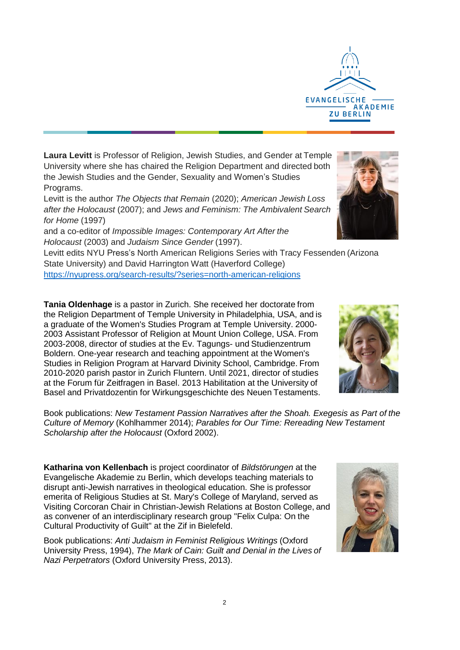**Laura Levitt** is Professor of Religion, Jewish Studies, and Gender at Temple University where she has chaired the Religion Department and directed both the Jewish Studies and the Gender, Sexuality and Women's Studies Programs.

Levitt is the author *The Objects that Remain* (2020); *American Jewish Loss after the Holocaust* (2007); and *Jews and Feminism: The Ambivalent Search for Home* (1997)

and a co-editor of *Impossible Images: Contemporary Art After the Holocaust* (2003) and *Judaism Since Gender* (1997).

Levitt edits NYU Press's North American Religions Series with Tracy Fessenden (Arizona State University) and David Harrington Watt (Haverford College) <https://nyupress.org/search-results/?series=north-american-religions>

**Tania Oldenhage** is a pastor in Zurich. She received her doctorate from the Religion Department of Temple University in Philadelphia, USA, and is a graduate of the Women's Studies Program at Temple University. 2000- 2003 Assistant Professor of Religion at Mount Union College, USA. From 2003-2008, director of studies at the Ev. Tagungs- und Studienzentrum Boldern. One-year research and teaching appointment at the Women's Studies in Religion Program at Harvard Divinity School, Cambridge. From 2010-2020 parish pastor in Zurich Fluntern. Until 2021, director of studies at the Forum für Zeitfragen in Basel. 2013 Habilitation at the University of Basel and Privatdozentin for Wirkungsgeschichte des Neuen Testaments.

Book publications: *New Testament Passion Narratives after the Shoah. Exegesis as Part of the Culture of Memory* (Kohlhammer 2014); *Parables for Our Time: Rereading New Testament Scholarship after the Holocaust* (Oxford 2002).

**Katharina von Kellenbach** is project coordinator of *Bildstörungen* at the Evangelische Akademie zu Berlin, which develops teaching materials to disrupt anti-Jewish narratives in theological education. She is professor emerita of Religious Studies at St. Mary's College of Maryland, served as Visiting Corcoran Chair in Christian-Jewish Relations at Boston College, and as convener of an interdisciplinary research group "Felix Culpa: On the Cultural Productivity of Guilt" at the Zif in Bielefeld.

Book publications: *Anti Judaism in Feminist Religious Writings* (Oxford University Press, 1994), *The Mark of Cain: Guilt and Denial in the Lives of Nazi Perpetrators* (Oxford University Press, 2013).